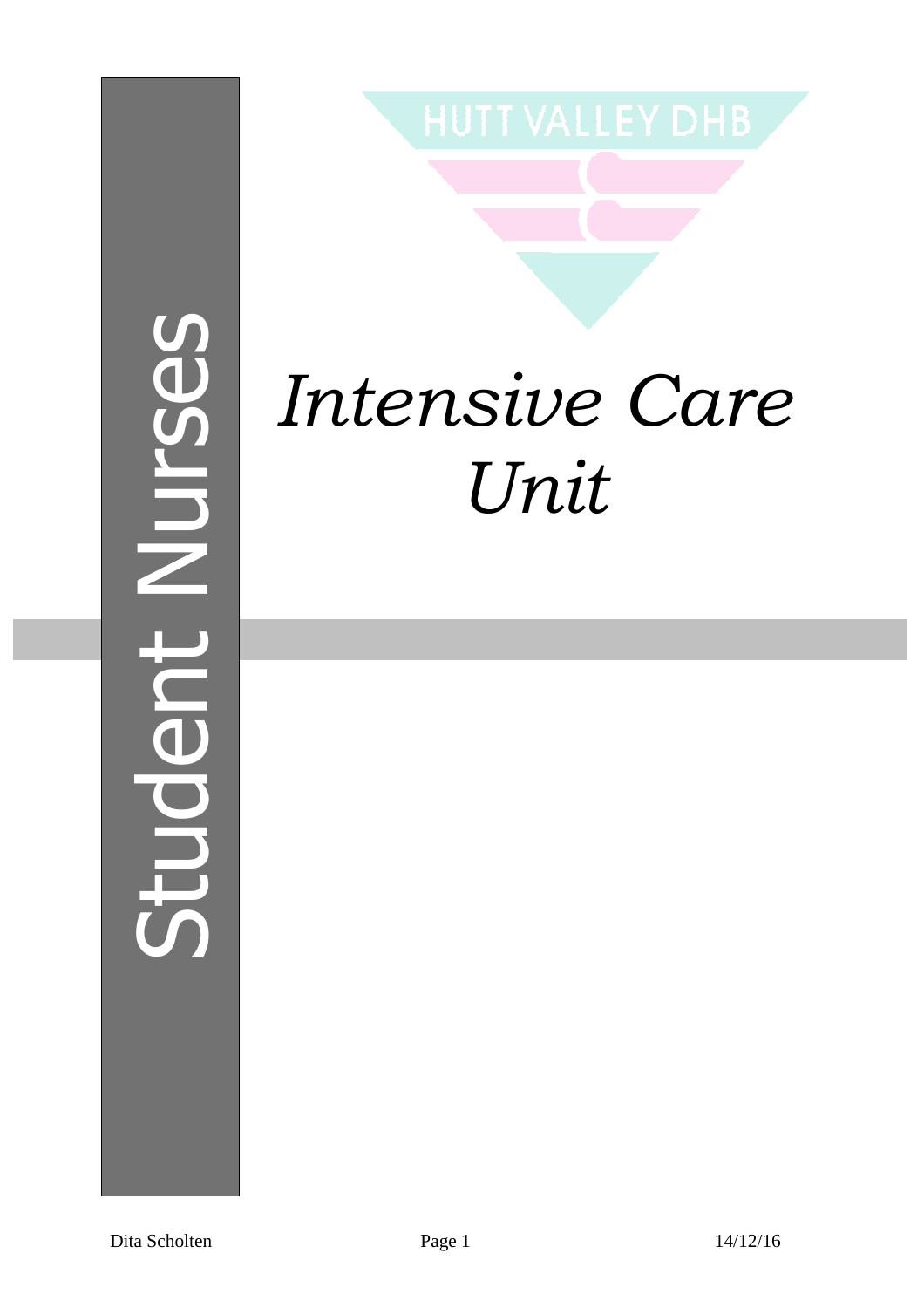# Student NursesNU<sub>L</sub>Ses  $\overline{\phantom{a}}$ mephil



# *Intensive Care Unit*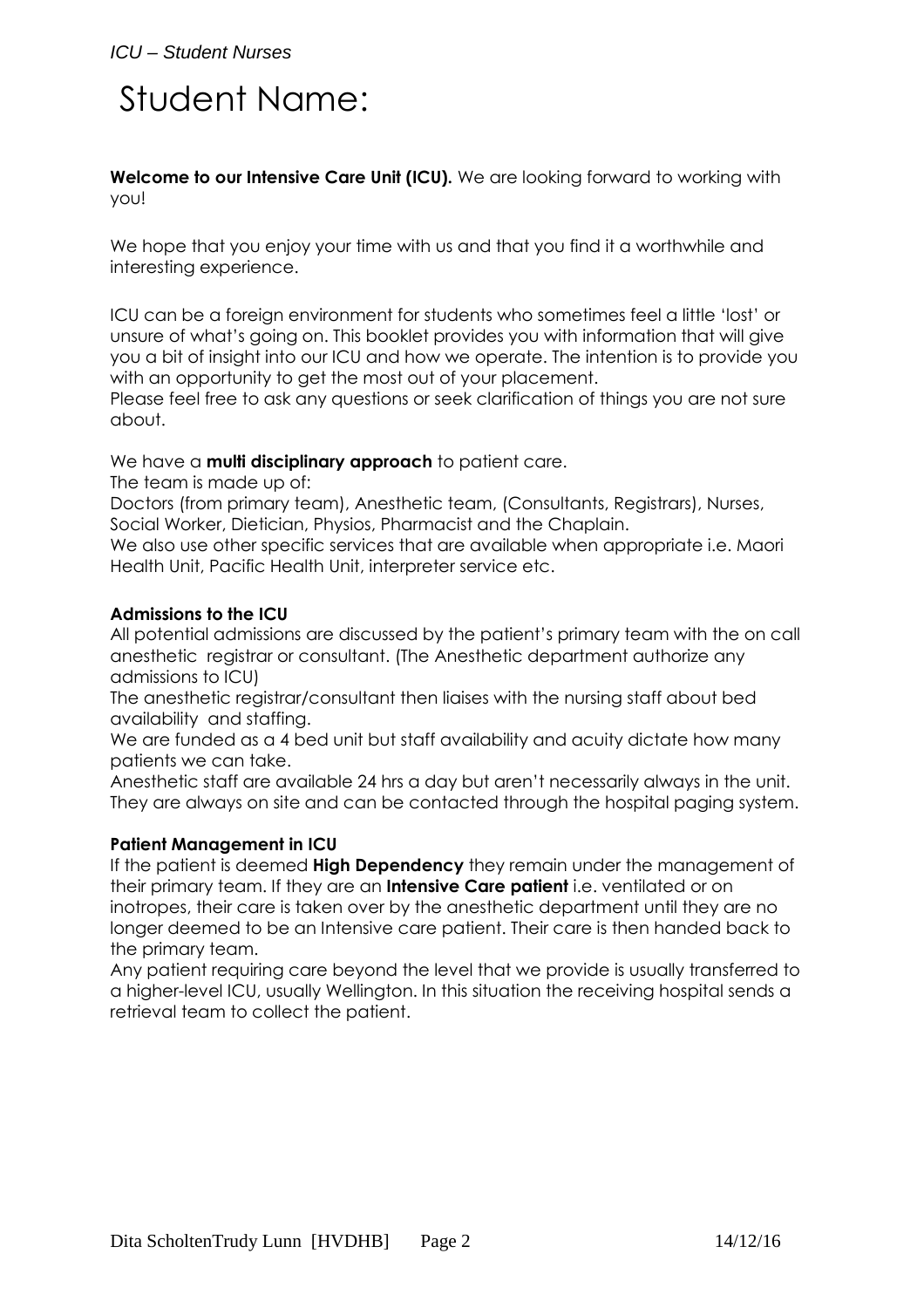# Student Name:

**Welcome to our Intensive Care Unit (ICU).** We are looking forward to working with you!

We hope that you enjoy your time with us and that you find it a worthwhile and interesting experience.

ICU can be a foreign environment for students who sometimes feel a little 'lost' or unsure of what's going on. This booklet provides you with information that will give you a bit of insight into our ICU and how we operate. The intention is to provide you with an opportunity to get the most out of your placement.

Please feel free to ask any questions or seek clarification of things you are not sure about.

## We have a **multi disciplinary approach** to patient care.

The team is made up of:

Doctors (from primary team), Anesthetic team, (Consultants, Registrars), Nurses, Social Worker, Dietician, Physios, Pharmacist and the Chaplain.

We also use other specific services that are available when appropriate i.e. Maori Health Unit, Pacific Health Unit, interpreter service etc.

### **Admissions to the ICU**

All potential admissions are discussed by the patient's primary team with the on call anesthetic registrar or consultant. (The Anesthetic department authorize any admissions to ICU)

The anesthetic registrar/consultant then liaises with the nursing staff about bed availability and staffing.

We are funded as a 4 bed unit but staff availability and acuity dictate how many patients we can take.

Anesthetic staff are available 24 hrs a day but aren't necessarily always in the unit. They are always on site and can be contacted through the hospital paging system.

## **Patient Management in ICU**

If the patient is deemed **High Dependency** they remain under the management of their primary team. If they are an **Intensive Care patient** i.e. ventilated or on inotropes, their care is taken over by the anesthetic department until they are no longer deemed to be an Intensive care patient. Their care is then handed back to the primary team.

Any patient requiring care beyond the level that we provide is usually transferred to a higher-level ICU, usually Wellington. In this situation the receiving hospital sends a retrieval team to collect the patient.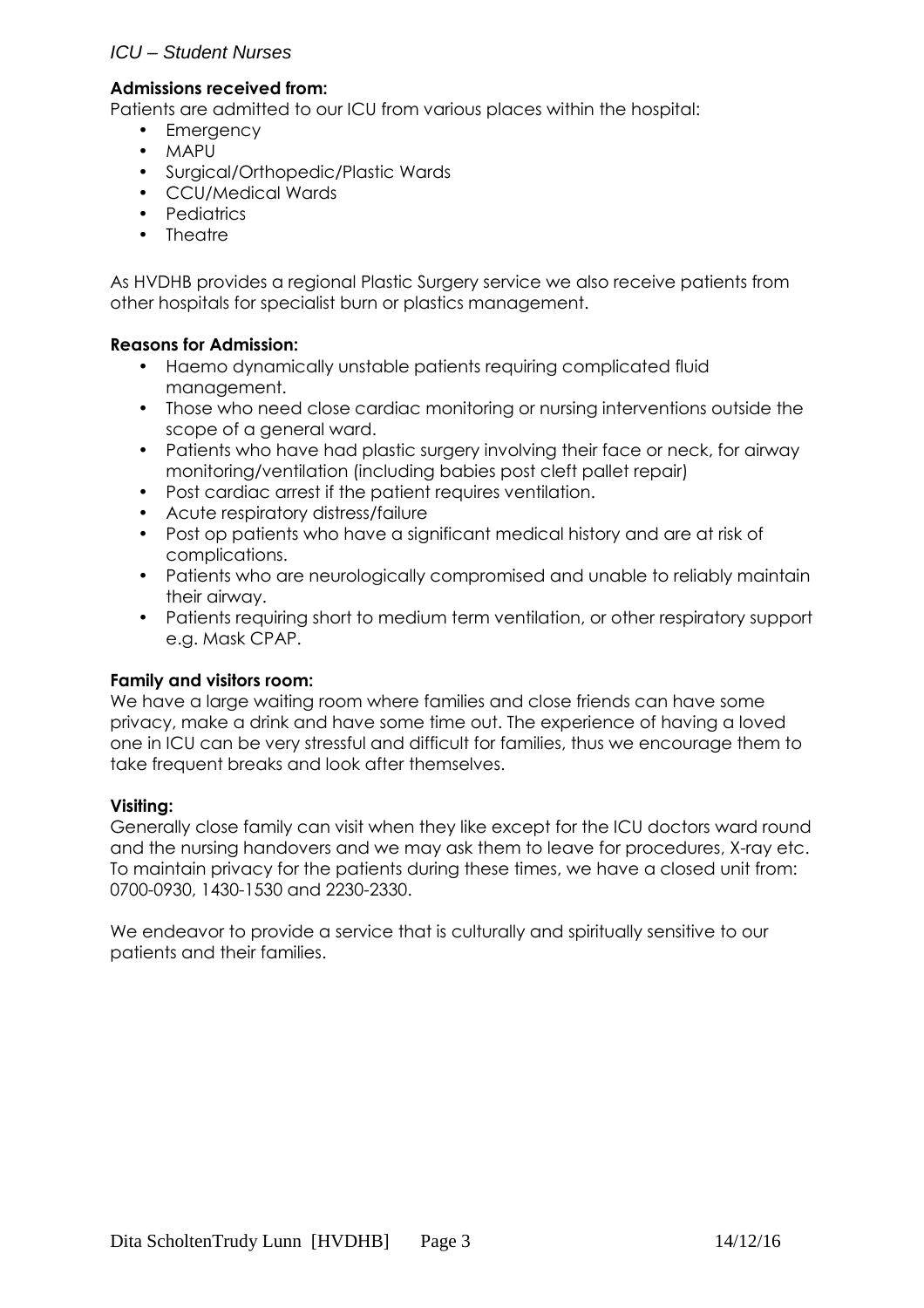# ICU – Student Nurses

### **Admissions received from:**

Patients are admitted to our ICU from various places within the hospital:

- Emergency
- MAPU
- Surgical/Orthopedic/Plastic Wards
- CCU/Medical Wards
- Pediatrics
- Theatre

As HVDHB provides a regional Plastic Surgery service we also receive patients from other hospitals for specialist burn or plastics management.

## **Reasons for Admission:**

- Haemo dynamically unstable patients requiring complicated fluid management.
- Those who need close cardiac monitoring or nursing interventions outside the scope of a general ward.
- Patients who have had plastic surgery involving their face or neck, for airway monitoring/ventilation (including babies post cleft pallet repair)
- Post cardiac arrest if the patient requires ventilation.
- Acute respiratory distress/failure
- Post op patients who have a significant medical history and are at risk of complications.
- Patients who are neurologically compromised and unable to reliably maintain their airway.
- Patients requiring short to medium term ventilation, or other respiratory support e.g. Mask CPAP.

### **Family and visitors room:**

We have a large waiting room where families and close friends can have some privacy, make a drink and have some time out. The experience of having a loved one in ICU can be very stressful and difficult for families, thus we encourage them to take frequent breaks and look after themselves.

### **Visiting:**

Generally close family can visit when they like except for the ICU doctors ward round and the nursing handovers and we may ask them to leave for procedures, X-ray etc. To maintain privacy for the patients during these times, we have a closed unit from: 0700-0930, 1430-1530 and 2230-2330.

We endeavor to provide a service that is culturally and spiritually sensitive to our patients and their families.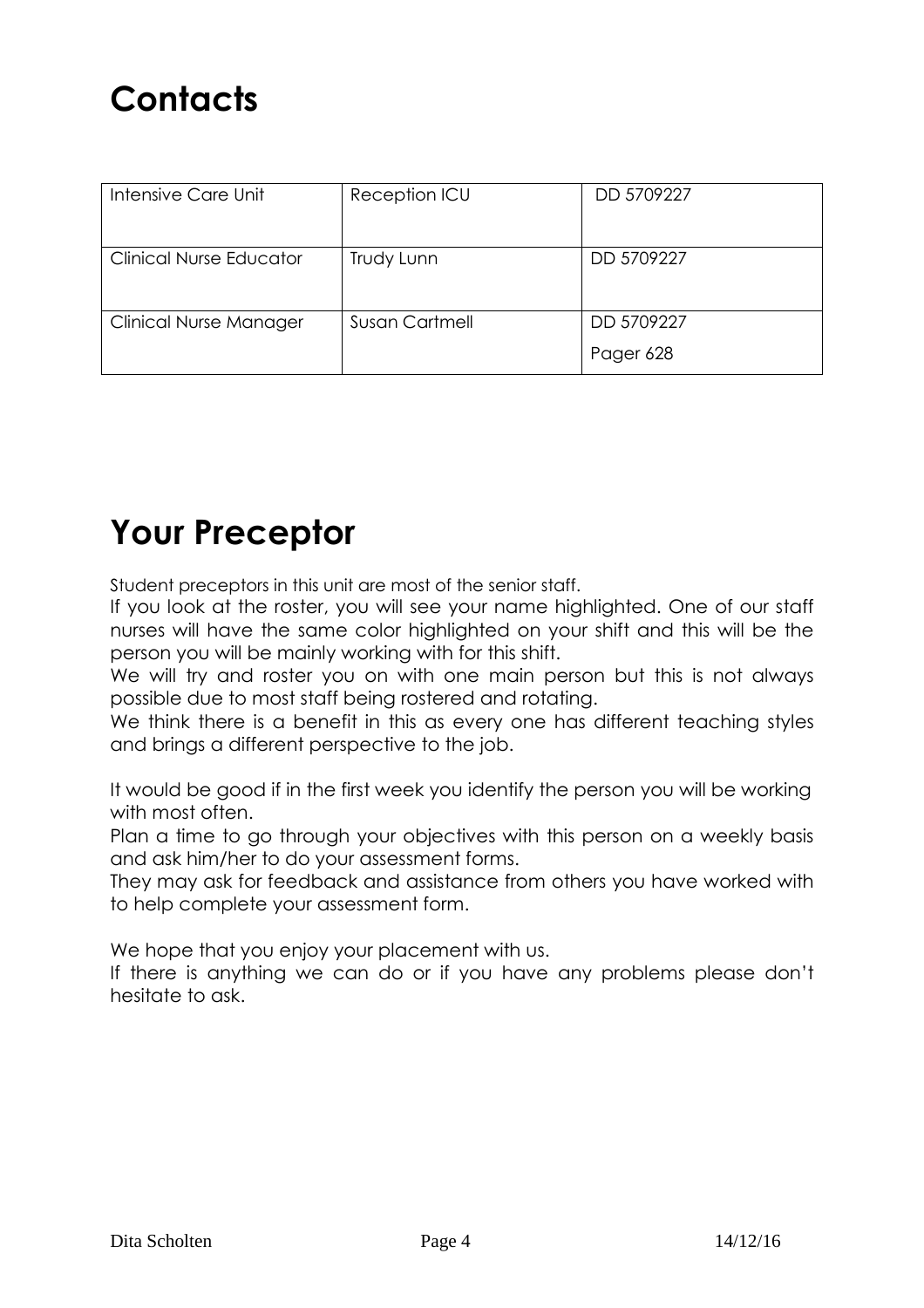| Intensive Care Unit            | Reception ICU         | DD 5709227 |
|--------------------------------|-----------------------|------------|
| <b>Clinical Nurse Educator</b> | Trudy Lunn            | DD 5709227 |
| <b>Clinical Nurse Manager</b>  | <b>Susan Cartmell</b> | DD 5709227 |
|                                |                       | Pager 628  |

# **Your Preceptor**

Student preceptors in this unit are most of the senior staff.

If you look at the roster, you will see your name highlighted. One of our staff nurses will have the same color highlighted on your shift and this will be the person you will be mainly working with for this shift.

We will try and roster you on with one main person but this is not always possible due to most staff being rostered and rotating.

We think there is a benefit in this as every one has different teaching styles and brings a different perspective to the job.

It would be good if in the first week you identify the person you will be working with most often.

Plan a time to go through your objectives with this person on a weekly basis and ask him/her to do your assessment forms.

They may ask for feedback and assistance from others you have worked with to help complete your assessment form.

We hope that you enjoy your placement with us.

If there is anything we can do or if you have any problems please don't hesitate to ask.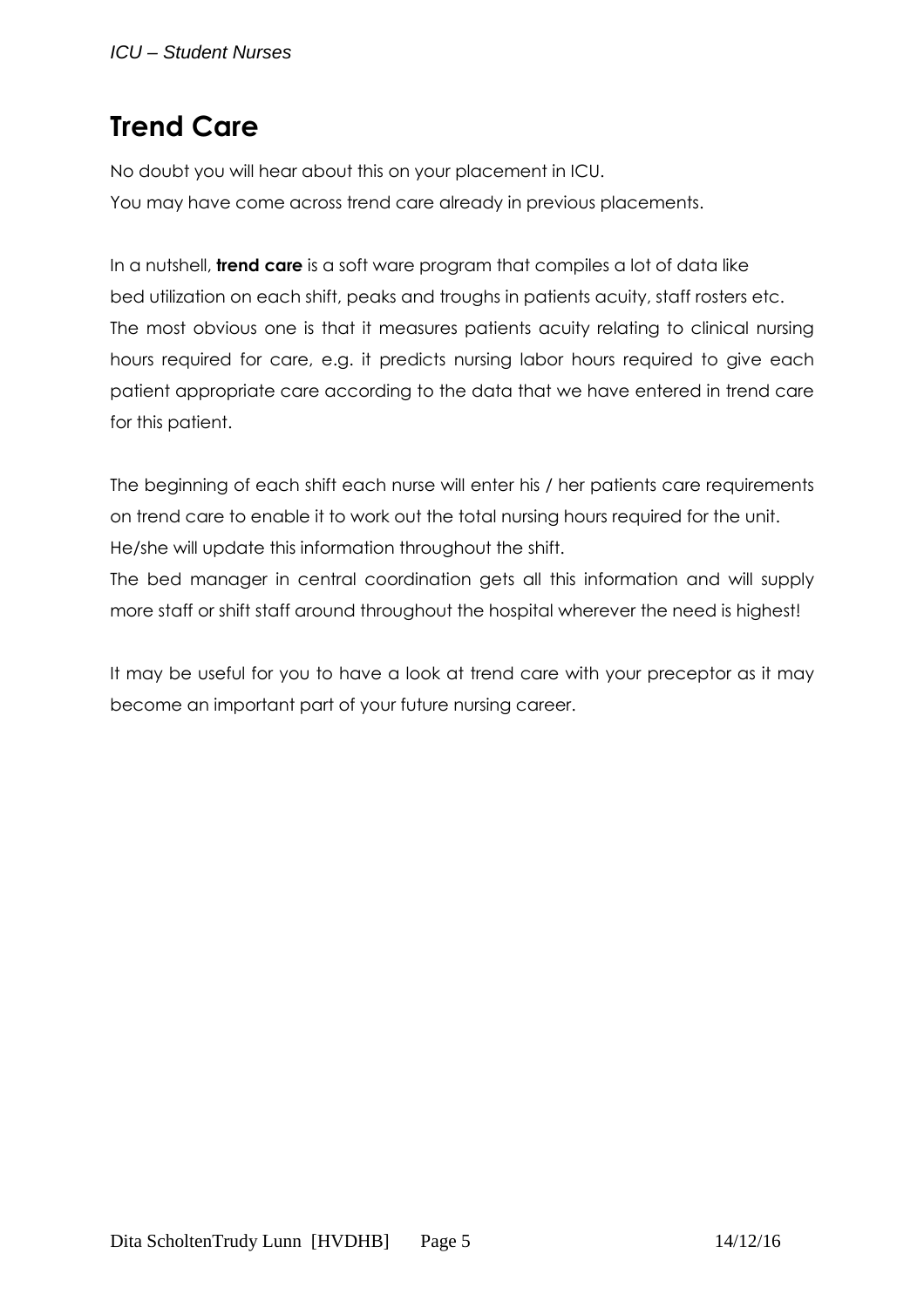# **Trend Care**

No doubt you will hear about this on your placement in ICU. You may have come across trend care already in previous placements.

In a nutshell, **trend care** is a soft ware program that compiles a lot of data like bed utilization on each shift, peaks and troughs in patients acuity, staff rosters etc. The most obvious one is that it measures patients acuity relating to clinical nursing hours required for care, e.g. it predicts nursing labor hours required to give each patient appropriate care according to the data that we have entered in trend care for this patient.

The beginning of each shift each nurse will enter his / her patients care requirements on trend care to enable it to work out the total nursing hours required for the unit. He/she will update this information throughout the shift.

The bed manager in central coordination gets all this information and will supply more staff or shift staff around throughout the hospital wherever the need is highest!

It may be useful for you to have a look at trend care with your preceptor as it may become an important part of your future nursing career.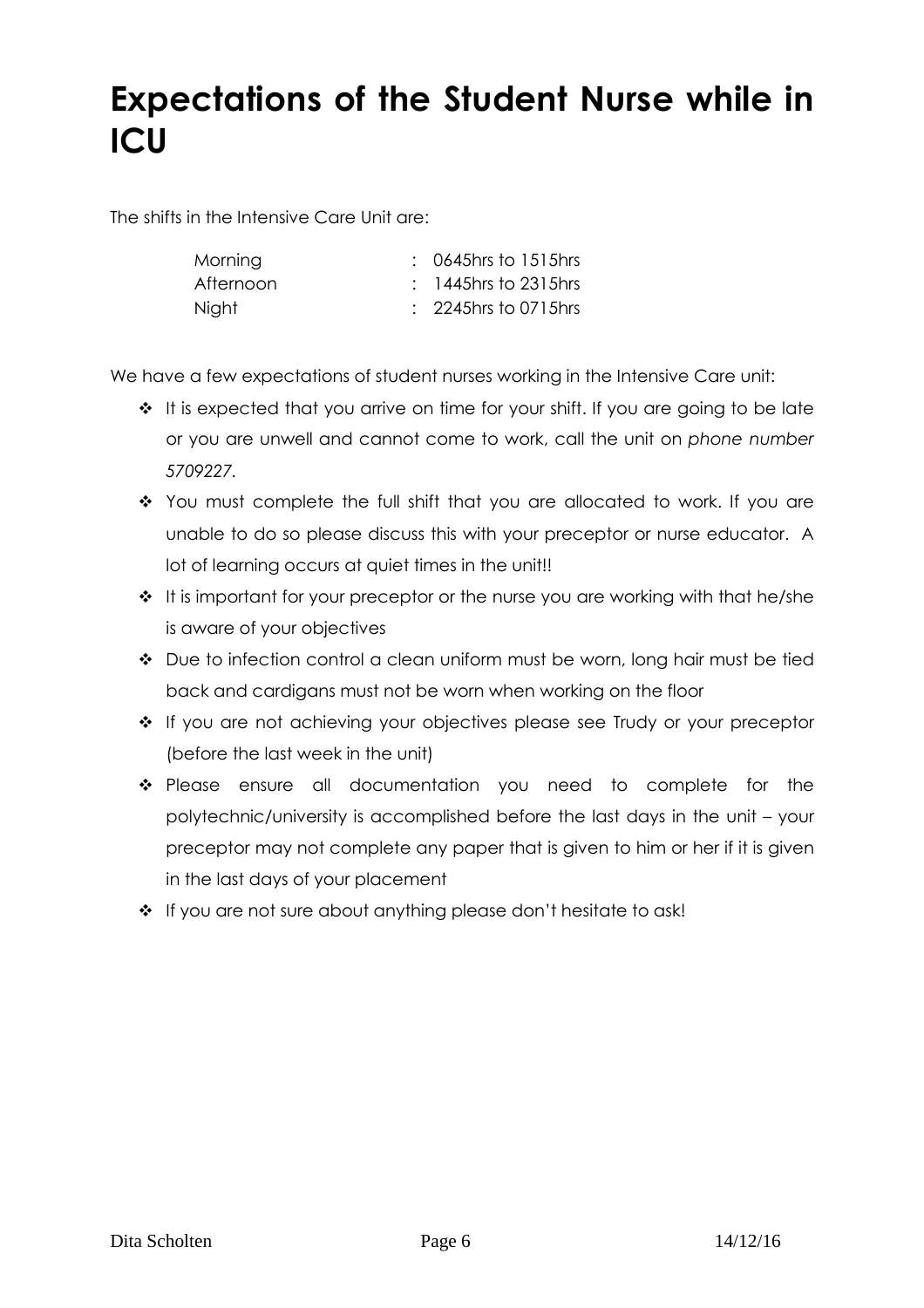# **Expectations of the Student Nurse while in ICU**

The shifts in the Intensive Care Unit are:

| Morning   | $: 0645$ hrs to $1515$ hrs      |
|-----------|---------------------------------|
| Afternoon | $: 1445$ hrs to 2315hrs         |
| Night     | $\therefore$ 2245hrs to 0715hrs |

We have a few expectations of student nurses working in the Intensive Care unit:

- $\cdot \cdot$  It is expected that you arrive on time for your shift. If you are going to be late or you are unwell and cannot come to work, call the unit on *phone number 5709227.*
- You must complete the full shift that you are allocated to work. If you are unable to do so please discuss this with your preceptor or nurse educator. A lot of learning occurs at quiet times in the unit!!
- $\cdot \cdot$  It is important for your preceptor or the nurse you are working with that he/she is aware of your objectives
- Due to infection control a clean uniform must be worn, long hair must be tied back and cardigans must not be worn when working on the floor
- If you are not achieving your objectives please see Trudy or your preceptor (before the last week in the unit)
- Please ensure all documentation you need to complete for the polytechnic/university is accomplished before the last days in the unit – your preceptor may not complete any paper that is given to him or her if it is given in the last days of your placement
- \* If you are not sure about anything please don't hesitate to ask!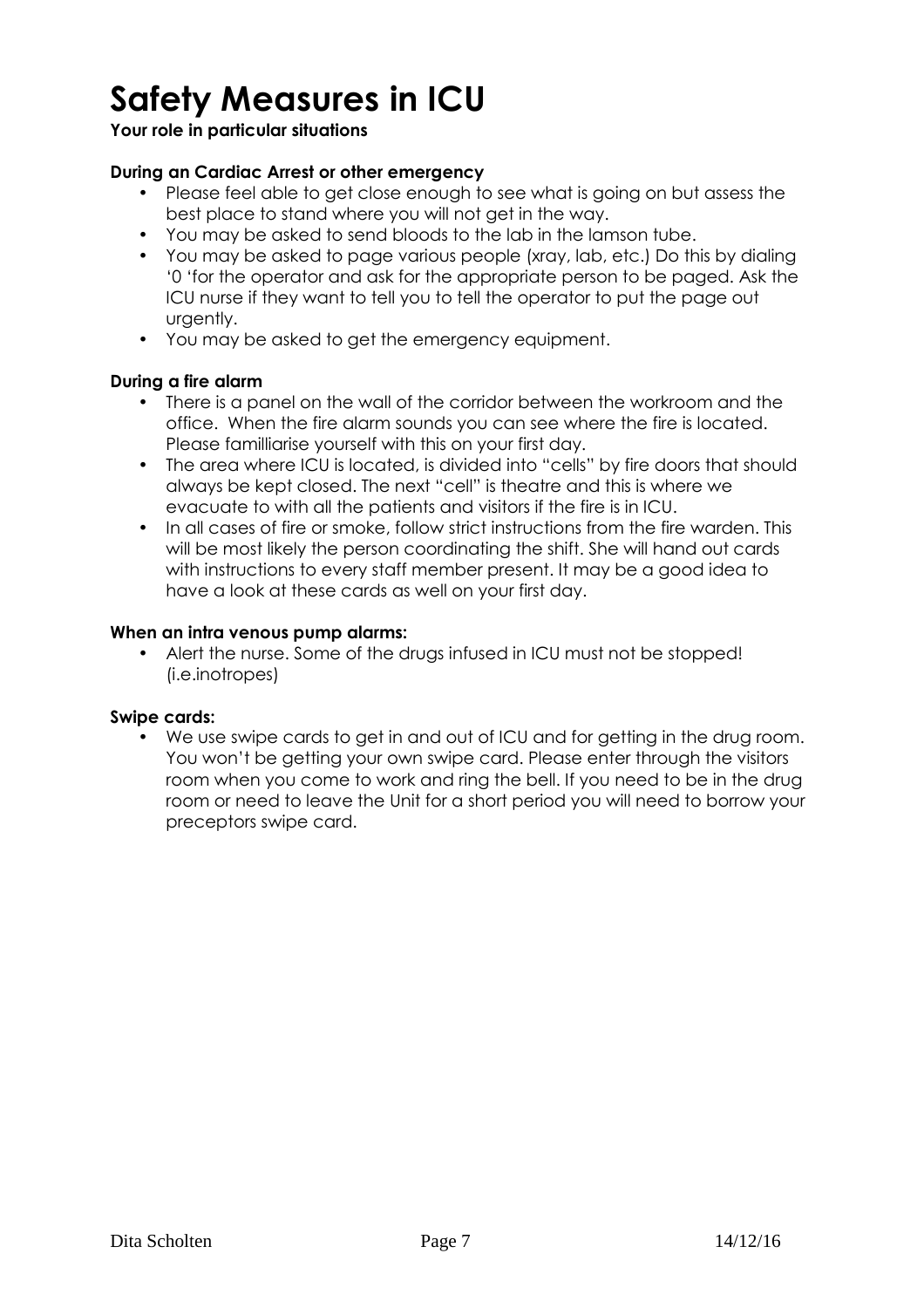# **Safety Measures in ICU**

# **Your role in particular situations**

# **During an Cardiac Arrest or other emergency**

- Please feel able to get close enough to see what is going on but assess the best place to stand where you will not get in the way.
- You may be asked to send bloods to the lab in the lamson tube.
- You may be asked to page various people (xray, lab, etc.) Do this by dialing '0 'for the operator and ask for the appropriate person to be paged. Ask the ICU nurse if they want to tell you to tell the operator to put the page out urgently.
- You may be asked to get the emergency equipment.

## **During a fire alarm**

- There is a panel on the wall of the corridor between the workroom and the office. When the fire alarm sounds you can see where the fire is located. Please familliarise yourself with this on your first day.
- The area where ICU is located, is divided into "cells" by fire doors that should always be kept closed. The next "cell" is theatre and this is where we evacuate to with all the patients and visitors if the fire is in ICU.
- In all cases of fire or smoke, follow strict instructions from the fire warden. This will be most likely the person coordinating the shift. She will hand out cards with instructions to every staff member present. It may be a good idea to have a look at these cards as well on your first day.

### **When an intra venous pump alarms:**

• Alert the nurse. Some of the drugs infused in ICU must not be stopped! (i.e.inotropes)

## **Swipe cards:**

• We use swipe cards to get in and out of ICU and for getting in the drug room. You won't be getting your own swipe card. Please enter through the visitors room when you come to work and ring the bell. If you need to be in the drug room or need to leave the Unit for a short period you will need to borrow your preceptors swipe card.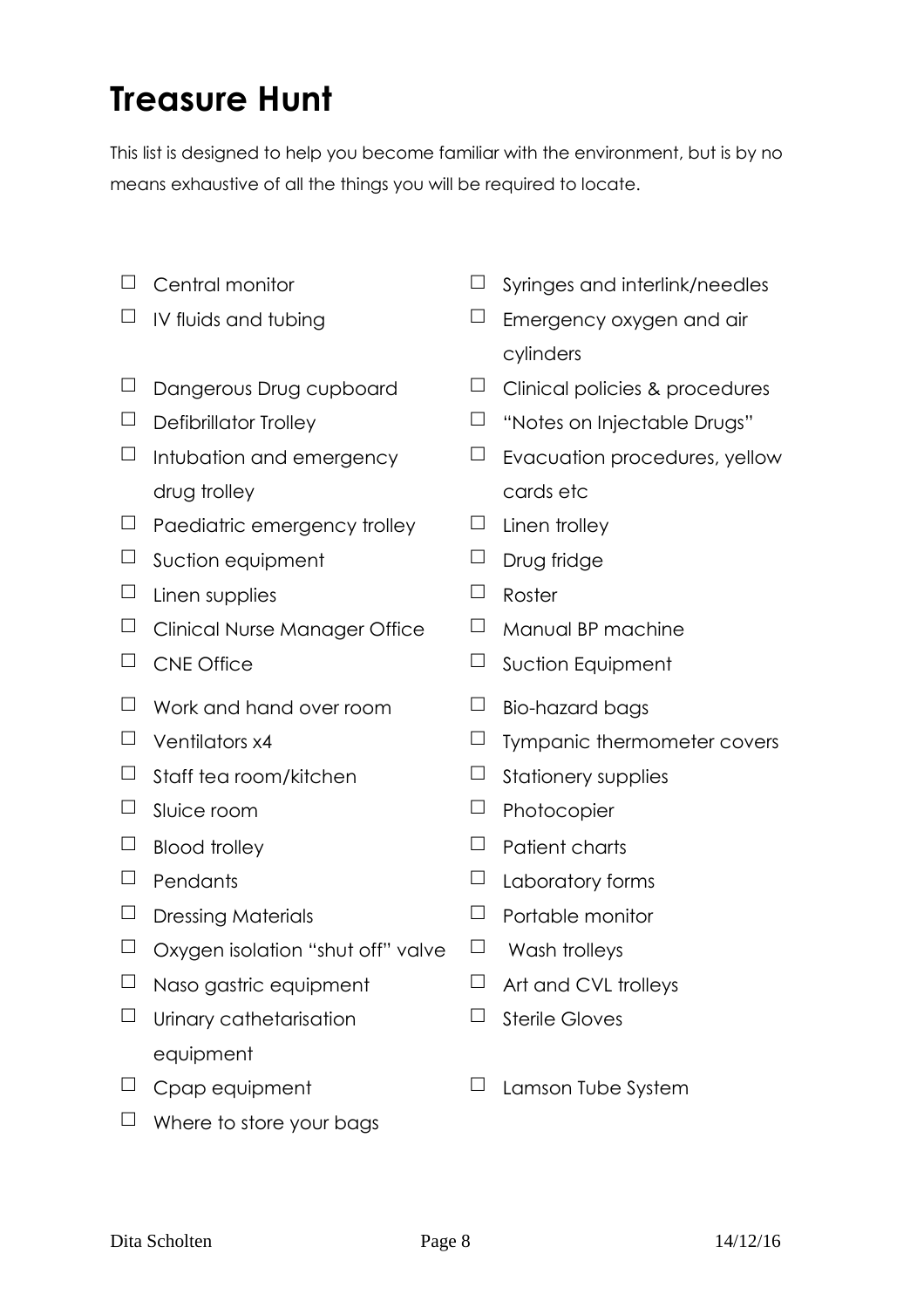# **Treasure Hunt**

This list is designed to help you become familiar with the environment, but is by no means exhaustive of all the things you will be required to locate.

- 
- 
- 
- 
- $\Box$  Intubation and emergency drug trolley
- $\Box$  Paediatric emergency trolley  $\Box$  Linen trolley
- $\Box$  Suction equipment  $\Box$  Drug fridge
- $\Box$  Linen supplies  $\Box$  Roster
- $\Box$  Clinical Nurse Manager Office  $\Box$  Manual BP machine
- 
- $\Box$  Work and hand over room  $\Box$  Bio-hazard bags
- 
- $\Box$  Staff tea room/kitchen  $\Box$  Stationery supplies
- 
- 
- 
- $\Box$  Dressing Materials  $\Box$  Portable monitor
- $\Box$  Oxygen isolation "shut off" valve  $\Box$  Wash trolleys
- $\Box$  Naso gastric equipment  $\Box$  Art and CVL trolleys
- $\Box$  Urinary cathetarisation equipment
- 
- $\Box$  Where to store your bags
- $\Box$  Central monitor  $\Box$  Syringes and interlink/needles
- $\Box$  IV fluids and tubing  $\Box$  Emergency oxygen and air cylinders
- $\Box$  Dangerous Drug cupboard  $\Box$  Clinical policies & procedures
- $\Box$  Defibrillator Trolley  $\Box$  "Notes on Injectable Drugs"
	- $\Box$  Evacuation procedures, yellow cards etc
	-
	-
	-
	-
- $\Box$  CNE Office  $\Box$  Suction Equipment
	-
- $\Box$  Ventilators x4  $\Box$  Tympanic thermometer covers
	-
- $\Box$  Sluice room  $\Box$  Photocopier
- $\Box$  Blood trolley  $\Box$  Patient charts
- $\Box$  Pendants  $\Box$  Laboratory forms
	-
	-
	-
	- $\Box$  Sterile Gloves
- $\Box$  Cpap equipment  $\Box$  Lamson Tube System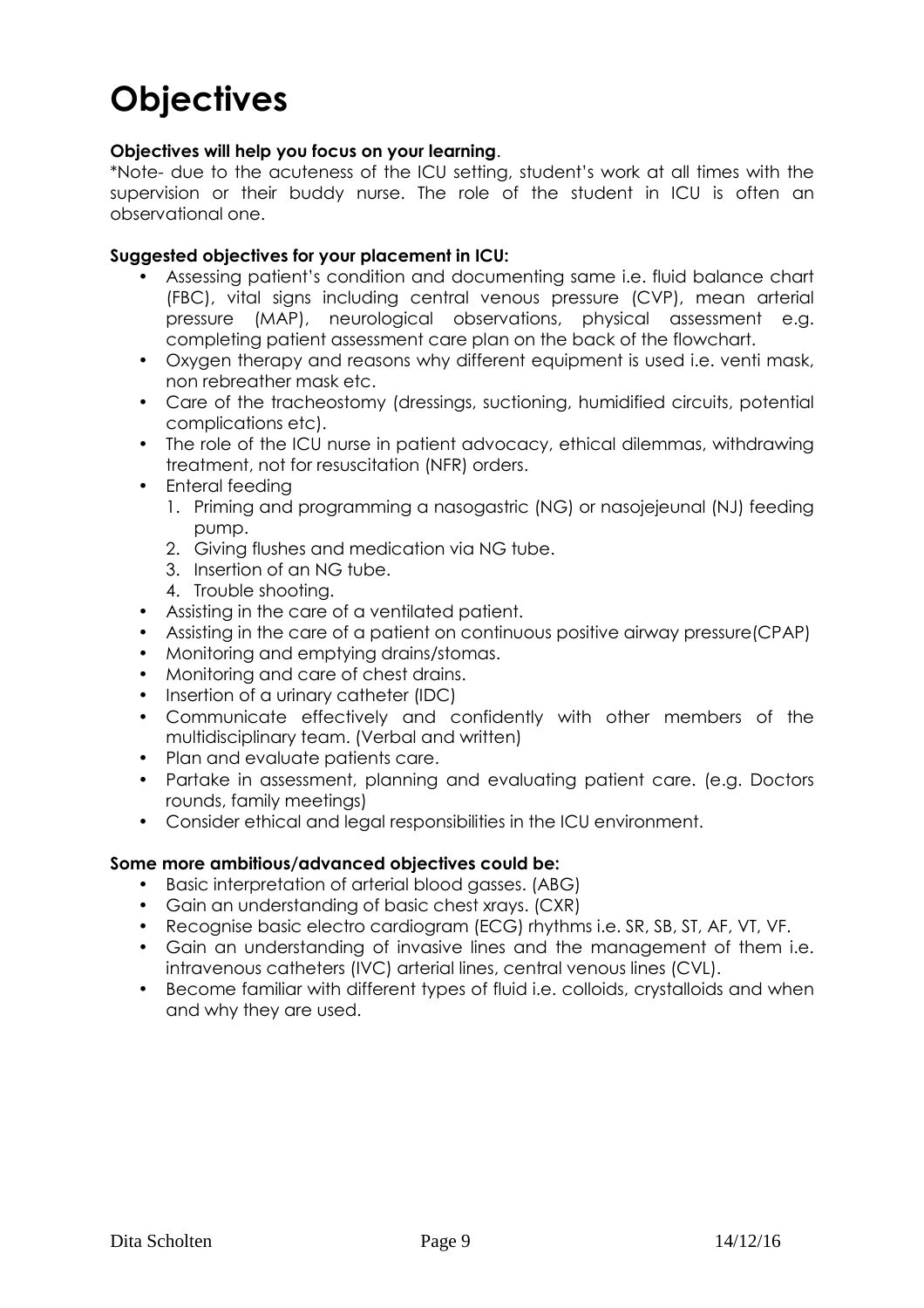# **Objectives**

### **Objectives will help you focus on your learning**.

\*Note- due to the acuteness of the ICU setting, student's work at all times with the supervision or their buddy nurse. The role of the student in ICU is often an observational one.

### **Suggested objectives for your placement in ICU:**

- Assessing patient's condition and documenting same i.e. fluid balance chart (FBC), vital signs including central venous pressure (CVP), mean arterial pressure (MAP), neurological observations, physical assessment e.g. completing patient assessment care plan on the back of the flowchart.
- Oxygen therapy and reasons why different equipment is used i.e. venti mask, non rebreather mask etc.
- Care of the tracheostomy (dressings, suctioning, humidified circuits, potential complications etc).
- The role of the ICU nurse in patient advocacy, ethical dilemmas, withdrawing treatment, not for resuscitation (NFR) orders.
- Enteral feeding
	- 1. Priming and programming a nasogastric (NG) or nasojejeunal (NJ) feeding pump.
	- 2. Giving flushes and medication via NG tube.
	- 3. Insertion of an NG tube.
	- 4. Trouble shooting.
- Assisting in the care of a ventilated patient.
- Assisting in the care of a patient on continuous positive airway pressure(CPAP)
- Monitoring and emptying drains/stomas.
- Monitoring and care of chest drains.
- Insertion of a urinary catheter (IDC)
- Communicate effectively and confidently with other members of the multidisciplinary team. (Verbal and written)
- Plan and evaluate patients care.
- Partake in assessment, planning and evaluating patient care. (e.g. Doctors rounds, family meetings)
- Consider ethical and legal responsibilities in the ICU environment.

### **Some more ambitious/advanced objectives could be:**

- Basic interpretation of arterial blood gasses. (ABG)
- Gain an understanding of basic chest xrays. (CXR)
- Recognise basic electro cardiogram (ECG) rhythms i.e. SR, SB, ST, AF, VT, VF.
- Gain an understanding of invasive lines and the management of them i.e. intravenous catheters (IVC) arterial lines, central venous lines (CVL).
- Become familiar with different types of fluid i.e. colloids, crystalloids and when and why they are used.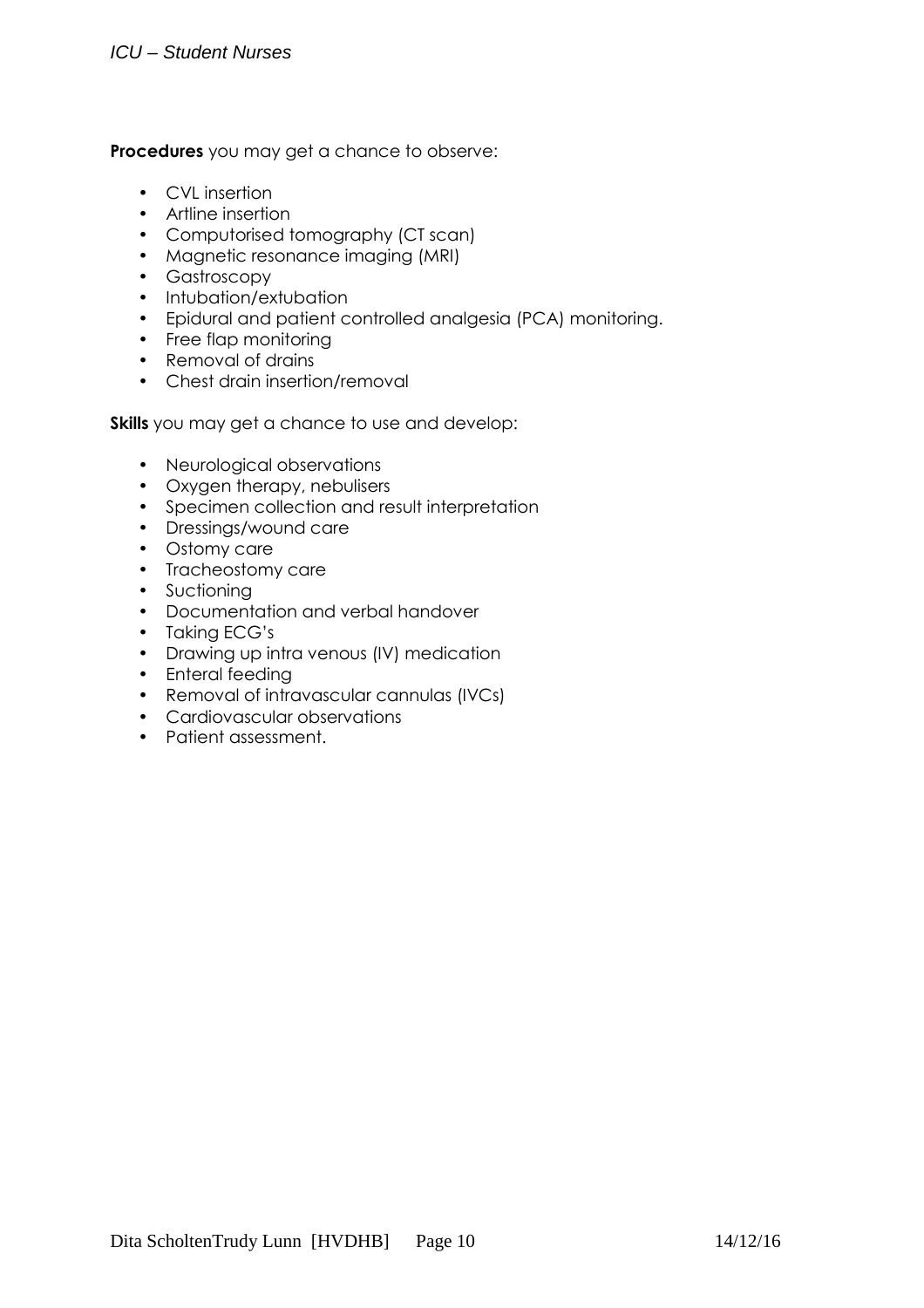# ICU – Student Nurses

**Procedures** you may get a chance to observe:

- CVL insertion
- Artline insertion
- Computorised tomography (CT scan)
- Magnetic resonance imaging (MRI)
- Gastroscopy
- Intubation/extubation
- Epidural and patient controlled analgesia (PCA) monitoring.
- Free flap monitoring
- Removal of drains
- Chest drain insertion/removal

**Skills** you may get a chance to use and develop:

- Neurological observations
- Oxygen therapy, nebulisers
- Specimen collection and result interpretation
- Dressings/wound care
- Ostomy care
- Tracheostomy care
- Suctioning
- Documentation and verbal handover
- Taking ECG's
- Drawing up intra venous (IV) medication
- Enteral feeding
- Removal of intravascular cannulas (IVCs)
- Cardiovascular observations
- Patient assessment.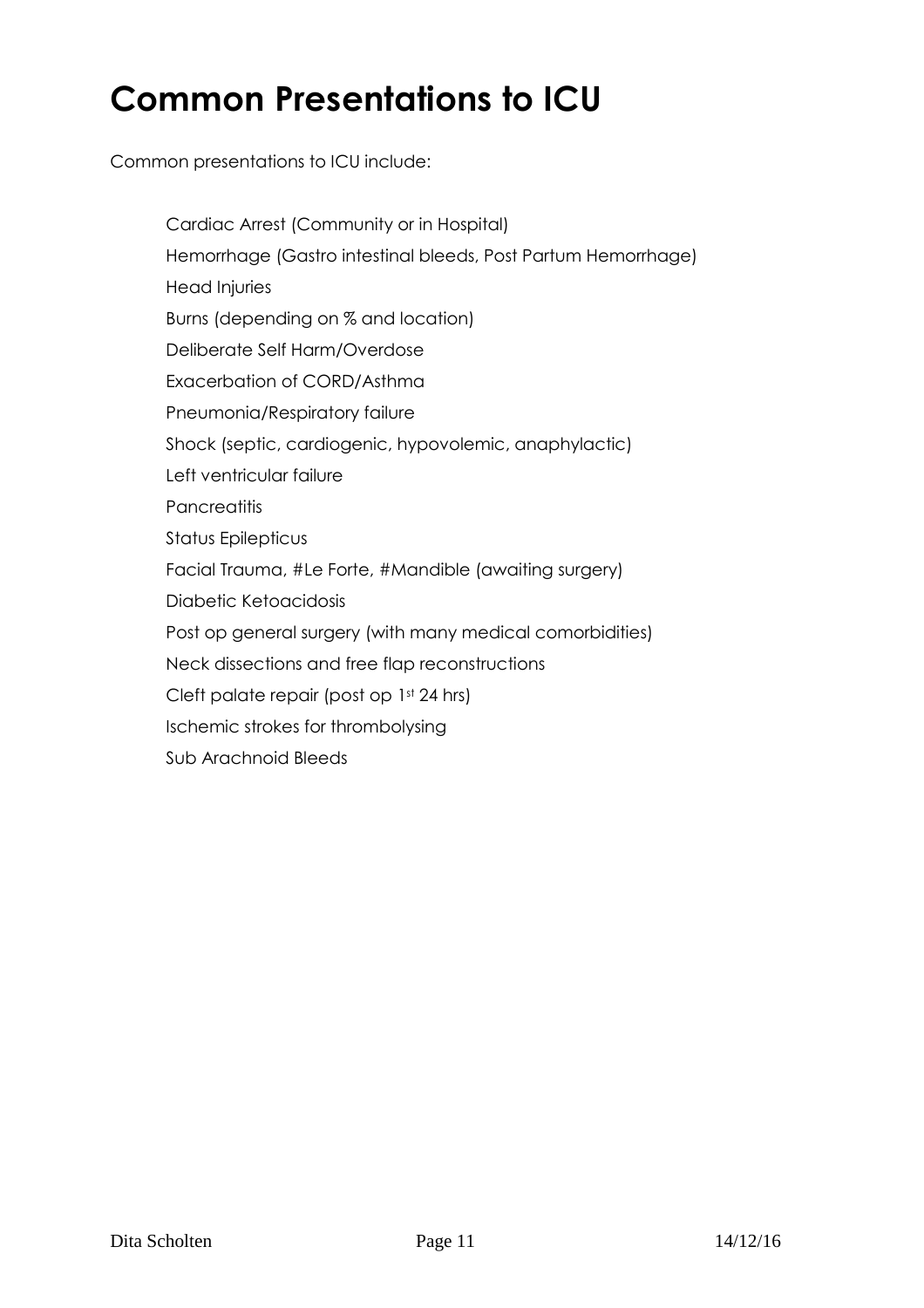# **Common Presentations to ICU**

Common presentations to ICU include:

- Cardiac Arrest (Community or in Hospital)
- $-$  Hemorrhage (Gastro intestinal bleeds, Post Partum Hemorrhage)
- Head Injuries
- Burns (depending on % and location)
- Deliberate Self Harm/Overdose
- Exacerbation of CORD/Asthma
- Pneumonia/Respiratory failure
- Shock (septic, cardiogenic, hypovolemic, anaphylactic)
- $-$  Left ventricular failure
- Pancreatitis
- Status Epilepticus
- Facial Trauma, #Le Forte, #Mandible (awaiting surgery)
- Diabetic Ketoacidosis
- Post op general surgery (with many medical comorbidities)
- Neck dissections and free flap reconstructions
- $\sim$  Cleft palate repair (post op 1st 24 hrs)
- Ischemic strokes for thrombolysing
- Sub Arachnoid Bleeds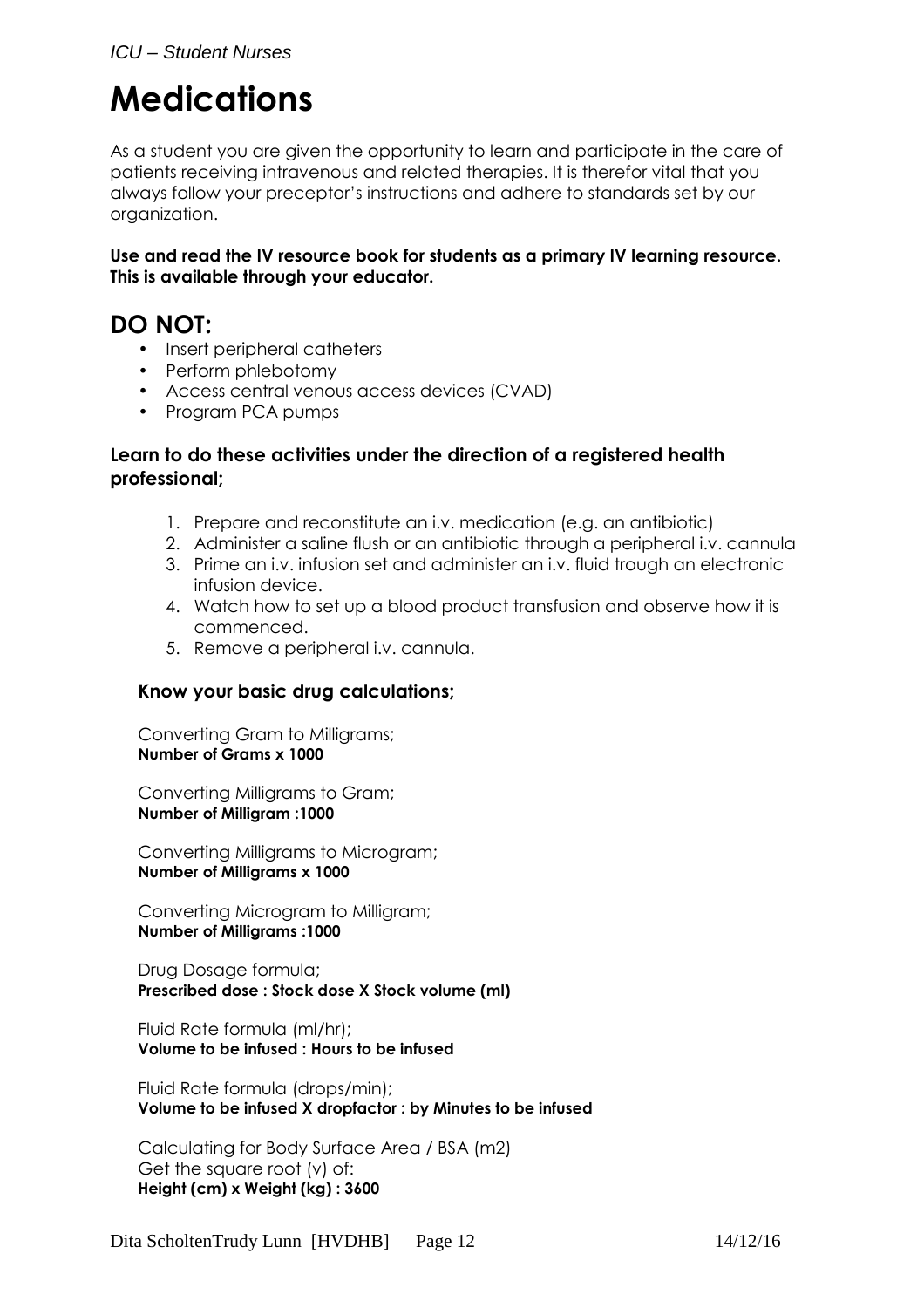# **Medications**

As a student you are given the opportunity to learn and participate in the care of patients receiving intravenous and related therapies. It is therefor vital that you always follow your preceptor's instructions and adhere to standards set by our organization.

**Use and read the IV resource book for students as a primary IV learning resource. This is available through your educator.** 

# **DO NOT:**

- Insert peripheral catheters
- Perform phlebotomy
- Access central venous access devices (CVAD)
- Program PCA pumps

# **Learn to do these activities under the direction of a registered health professional;**

- 1. Prepare and reconstitute an i.v. medication (e.g. an antibiotic)
- 2. Administer a saline flush or an antibiotic through a peripheral i.v. cannula
- 3. Prime an i.v. infusion set and administer an i.v. fluid trough an electronic infusion device.
- 4. Watch how to set up a blood product transfusion and observe how it is commenced.
- 5. Remove a peripheral i.v. cannula.

# **Know your basic drug calculations;**

Converting Gram to Milligrams; **Number of Grams x 1000** 

Converting Milligrams to Gram; **Number of Milligram :1000** 

Converting Milligrams to Microgram; **Number of Milligrams x 1000** 

Converting Microgram to Milligram; **Number of Milligrams :1000** 

Drug Dosage formula; **Prescribed dose : Stock dose X Stock volume (ml)** 

Fluid Rate formula (ml/hr); **Volume to be infused : Hours to be infused** 

Fluid Rate formula (drops/min); **Volume to be infused X dropfactor : by Minutes to be infused** 

Calculating for Body Surface Area / BSA (m2) Get the square root (v) of: **Height (cm) x Weight (kg) : 3600**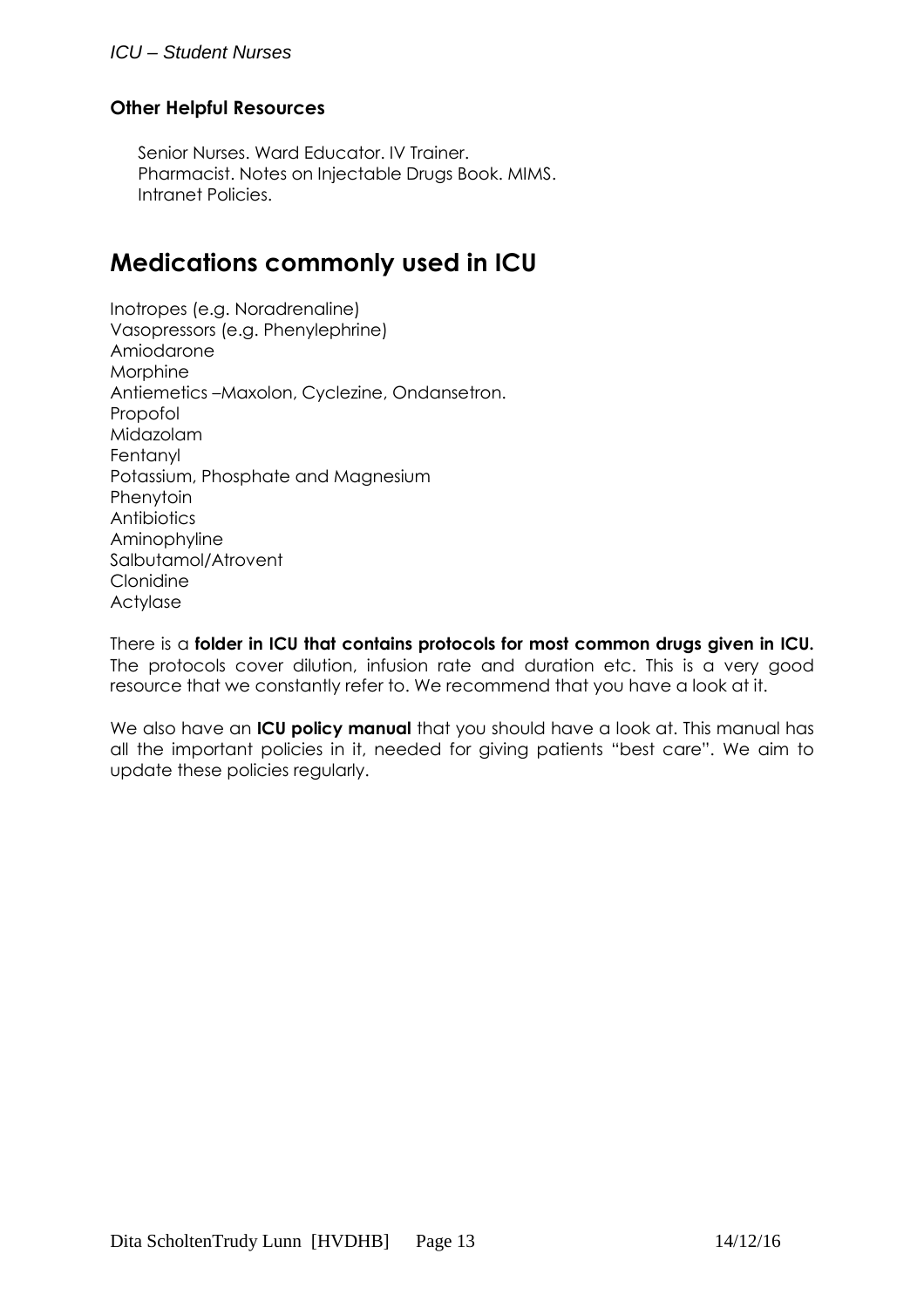# ICU – Student Nurses

# **Other Helpful Resources**

Senior Nurses. Ward Educator. IV Trainer. Pharmacist. Notes on Injectable Drugs Book. MIMS. Intranet Policies.

# **Medications commonly used in ICU**

Inotropes (e.g. Noradrenaline) Vasopressors (e.g. Phenylephrine) Amiodarone **Morphine** Antiemetics –Maxolon, Cyclezine, Ondansetron. Propofol Midazolam Fentanyl Potassium, Phosphate and Magnesium Phenytoin Antibiotics Aminophyline Salbutamol/Atrovent Clonidine Actylase

There is a **folder in ICU that contains protocols for most common drugs given in ICU.**  The protocols cover dilution, infusion rate and duration etc. This is a very good resource that we constantly refer to. We recommend that you have a look at it.

We also have an **ICU policy manual** that you should have a look at. This manual has all the important policies in it, needed for giving patients "best care". We aim to update these policies regularly.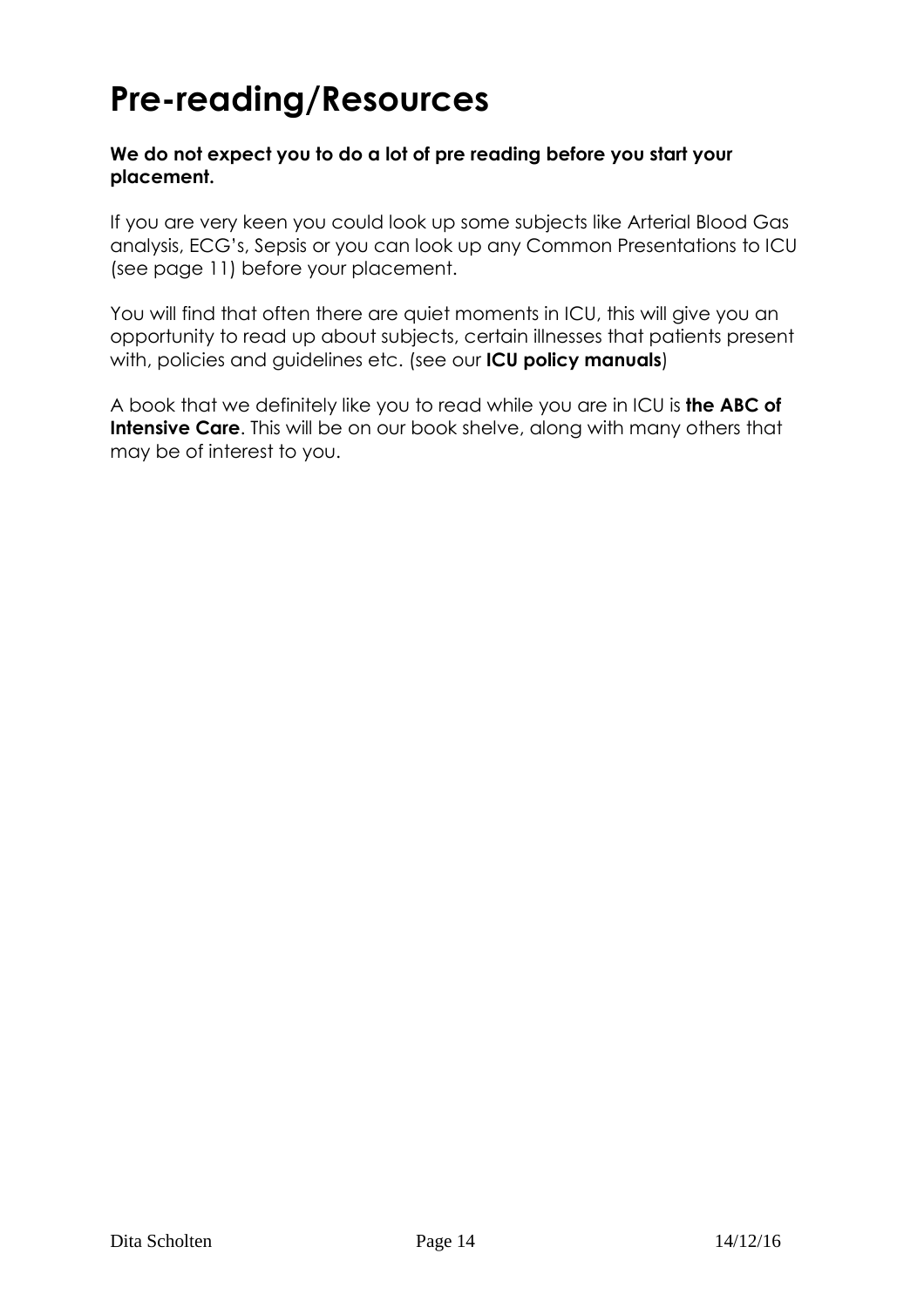# **Pre-reading/Resources**

# **We do not expect you to do a lot of pre reading before you start your placement.**

If you are very keen you could look up some subjects like Arterial Blood Gas analysis, ECG's, Sepsis or you can look up any Common Presentations to ICU (see page 11) before your placement.

You will find that often there are quiet moments in ICU, this will give you an opportunity to read up about subjects, certain illnesses that patients present with, policies and guidelines etc. (see our **ICU policy manuals**)

A book that we definitely like you to read while you are in ICU is **the ABC of Intensive Care**. This will be on our book shelve, along with many others that may be of interest to you.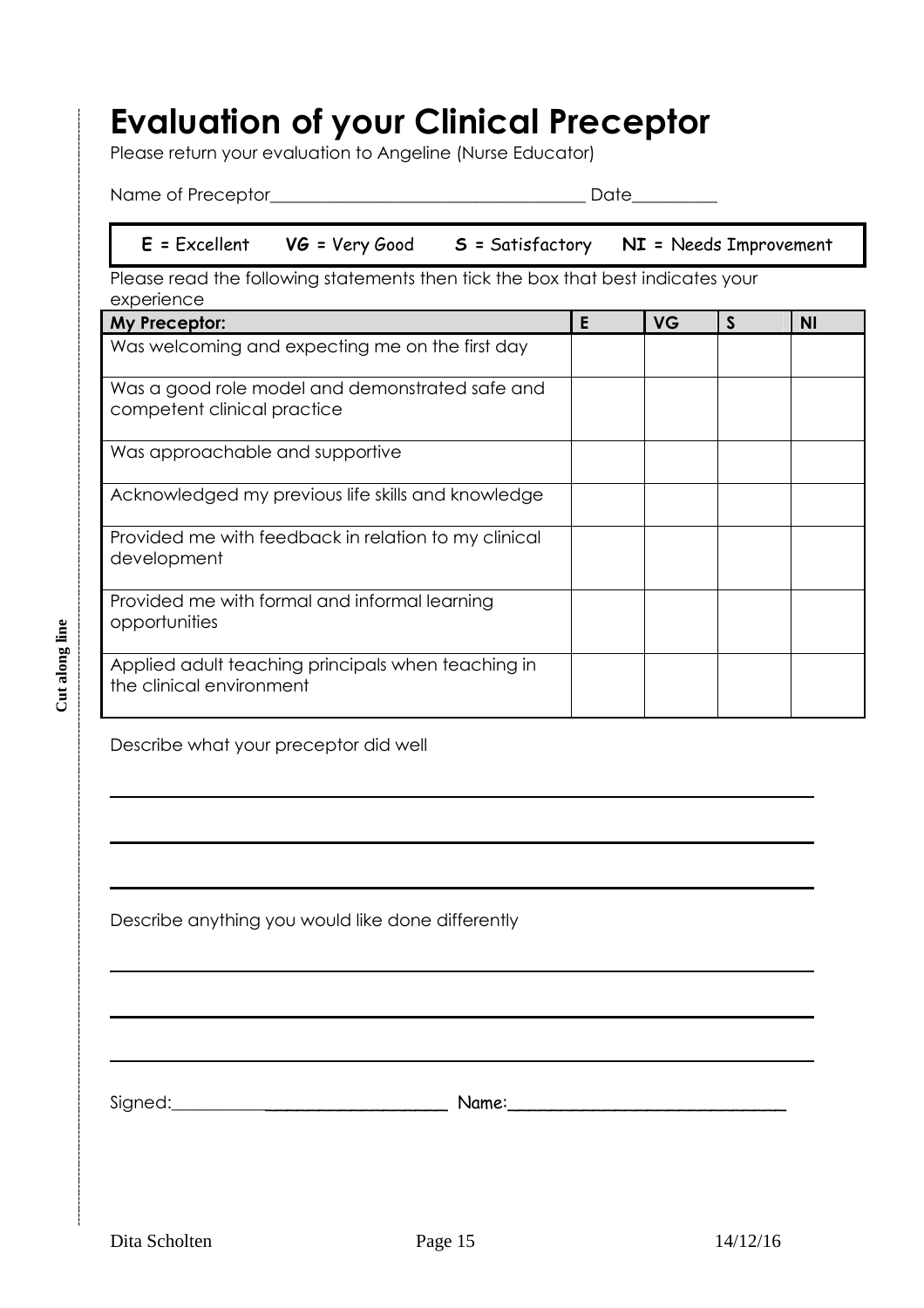# **Evaluation of your Clinical Preceptor**

Please return your evaluation to Angeline (Nurse Educator)

Name of Preceptor\_\_\_\_\_\_\_\_\_\_\_\_\_\_\_\_\_\_\_\_\_\_\_\_\_\_\_\_\_\_\_\_\_\_\_\_\_ Date\_\_\_\_\_\_\_\_\_\_

# **E =** Excellent **VG =** Very Good **S =** Satisfactory **NI =** Needs Improvement

Please read the following statements then tick the box that best indicates your experience

| My Preceptor:                                                                  | E | <b>VG</b> | <sub>S</sub> | ΝI |
|--------------------------------------------------------------------------------|---|-----------|--------------|----|
| Was welcoming and expecting me on the first day                                |   |           |              |    |
| Was a good role model and demonstrated safe and<br>competent clinical practice |   |           |              |    |
| Was approachable and supportive                                                |   |           |              |    |
| Acknowledged my previous life skills and knowledge                             |   |           |              |    |
| Provided me with feedback in relation to my clinical<br>development            |   |           |              |    |
| Provided me with formal and informal learning<br>opportunities                 |   |           |              |    |
| Applied adult teaching principals when teaching in<br>the clinical environment |   |           |              |    |

Describe what your preceptor did well

Describe anything you would like done differently

Signed:\_\_\_\_\_\_\_\_\_\_\_\_\_\_\_\_\_\_\_\_\_\_\_\_\_\_\_\_ Name:\_\_\_\_\_\_\_\_\_\_\_\_\_\_\_\_\_\_\_\_\_\_\_\_\_\_